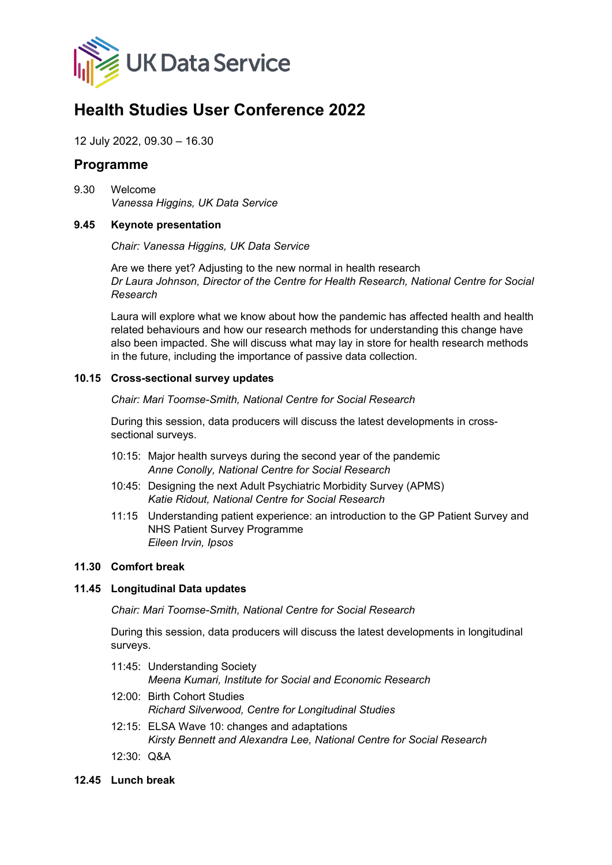

# **Health Studies User Conference 2022**

12 July 2022, 09.30 – 16.30

# **Programme**

9.30 Welcome *Vanessa Higgins, UK Data Service*

#### **9.45 Keynote presentation**

*Chair: Vanessa Higgins, UK Data Service*

Are we there yet? Adjusting to the new normal in health research *Dr Laura Johnson, Director of the Centre for Health Research, National Centre for Social Research*

Laura will explore what we know about how the pandemic has affected health and health related behaviours and how our research methods for understanding this change have also been impacted. She will discuss what may lay in store for health research methods in the future, including the importance of passive data collection.

#### **10.15 Cross-sectional survey updates**

*Chair: Mari Toomse-Smith, National Centre for Social Research*

During this session, data producers will discuss the latest developments in crosssectional surveys.

- 10:15: Major health surveys during the second year of the pandemic *Anne Conolly, National Centre for Social Research*
- 10:45: Designing the next Adult Psychiatric Morbidity Survey (APMS) *Katie Ridout, National Centre for Social Research*
- 11:15 Understanding patient experience: an introduction to the GP Patient Survey and NHS Patient Survey Programme *Eileen Irvin, Ipsos*

## **11.30 Comfort break**

## **11.45 Longitudinal Data updates**

*Chair: Mari Toomse-Smith, National Centre for Social Research*

During this session, data producers will discuss the latest developments in longitudinal surveys.

- 11:45: Understanding Society *Meena Kumari, Institute for Social and Economic Research*
- 12:00: Birth Cohort Studies *Richard Silverwood, Centre for Longitudinal Studies*
- 12:15: ELSA Wave 10: changes and adaptations *Kirsty Bennett and Alexandra Lee, National Centre for Social Research*
- 12:30: Q&A
- **12.45 Lunch break**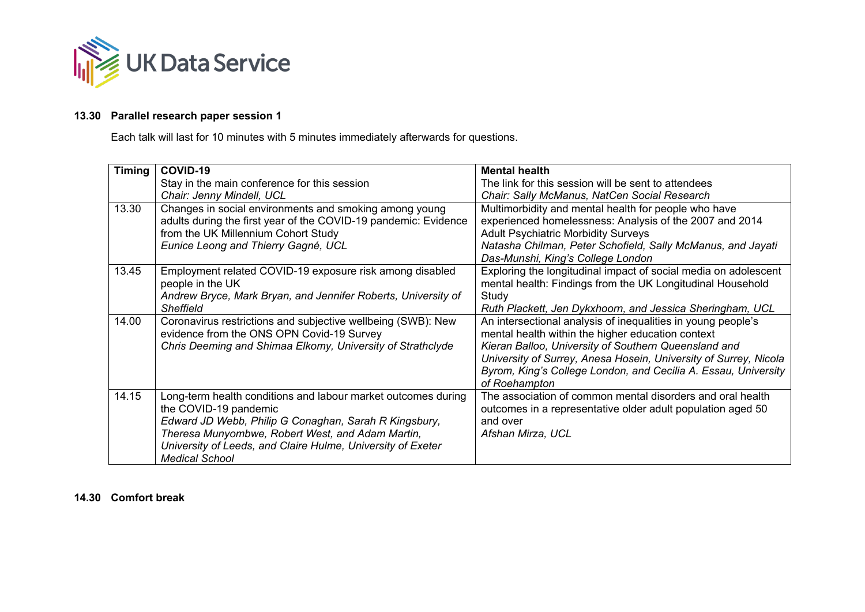

## **13.30 Parallel research paper session 1**

Each talk will last for 10 minutes with 5 minutes immediately afterwards for questions.

| <b>Timing</b> | COVID-19                                                        | <b>Mental health</b>                                             |
|---------------|-----------------------------------------------------------------|------------------------------------------------------------------|
|               | Stay in the main conference for this session                    | The link for this session will be sent to attendees              |
|               | Chair: Jenny Mindell, UCL                                       | Chair: Sally McManus, NatCen Social Research                     |
| 13.30         | Changes in social environments and smoking among young          | Multimorbidity and mental health for people who have             |
|               | adults during the first year of the COVID-19 pandemic: Evidence | experienced homelessness: Analysis of the 2007 and 2014          |
|               | from the UK Millennium Cohort Study                             | <b>Adult Psychiatric Morbidity Surveys</b>                       |
|               | Eunice Leong and Thierry Gagné, UCL                             | Natasha Chilman, Peter Schofield, Sally McManus, and Jayati      |
|               |                                                                 | Das-Munshi, King's College London                                |
| 13.45         | Employment related COVID-19 exposure risk among disabled        | Exploring the longitudinal impact of social media on adolescent  |
|               | people in the UK                                                | mental health: Findings from the UK Longitudinal Household       |
|               | Andrew Bryce, Mark Bryan, and Jennifer Roberts, University of   | Study                                                            |
|               | <b>Sheffield</b>                                                | Ruth Plackett, Jen Dykxhoorn, and Jessica Sheringham, UCL        |
| 14.00         | Coronavirus restrictions and subjective wellbeing (SWB): New    | An intersectional analysis of inequalities in young people's     |
|               | evidence from the ONS OPN Covid-19 Survey                       | mental health within the higher education context                |
|               | Chris Deeming and Shimaa Elkomy, University of Strathclyde      | Kieran Balloo, University of Southern Queensland and             |
|               |                                                                 | University of Surrey, Anesa Hosein, University of Surrey, Nicola |
|               |                                                                 | Byrom, King's College London, and Cecilia A. Essau, University   |
|               |                                                                 | of Roehampton                                                    |
| 14.15         | Long-term health conditions and labour market outcomes during   | The association of common mental disorders and oral health       |
|               | the COVID-19 pandemic                                           | outcomes in a representative older adult population aged 50      |
|               | Edward JD Webb, Philip G Conaghan, Sarah R Kingsbury,           | and over                                                         |
|               | Theresa Munyombwe, Robert West, and Adam Martin,                | Afshan Mirza, UCL                                                |
|               | University of Leeds, and Claire Hulme, University of Exeter     |                                                                  |
|               | <b>Medical School</b>                                           |                                                                  |

## **14.30 Comfort break**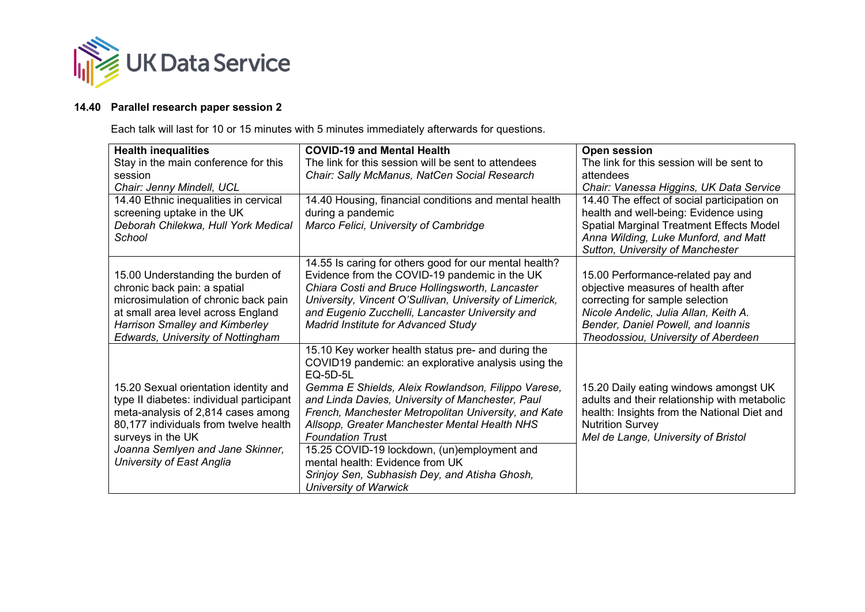

# **14.40 Parallel research paper session 2**

Each talk will last for 10 or 15 minutes with 5 minutes immediately afterwards for questions.

| <b>Health inequalities</b>                                                                                                                                                                                                                             | <b>COVID-19 and Mental Health</b>                                                                                                                                                                                                                                                                                                                                                                                                                                                                                                      | <b>Open session</b>                                                                                                                                                                                                              |
|--------------------------------------------------------------------------------------------------------------------------------------------------------------------------------------------------------------------------------------------------------|----------------------------------------------------------------------------------------------------------------------------------------------------------------------------------------------------------------------------------------------------------------------------------------------------------------------------------------------------------------------------------------------------------------------------------------------------------------------------------------------------------------------------------------|----------------------------------------------------------------------------------------------------------------------------------------------------------------------------------------------------------------------------------|
| Stay in the main conference for this                                                                                                                                                                                                                   | The link for this session will be sent to attendees                                                                                                                                                                                                                                                                                                                                                                                                                                                                                    | The link for this session will be sent to                                                                                                                                                                                        |
| session                                                                                                                                                                                                                                                | Chair: Sally McManus, NatCen Social Research                                                                                                                                                                                                                                                                                                                                                                                                                                                                                           | attendees                                                                                                                                                                                                                        |
| Chair: Jenny Mindell, UCL                                                                                                                                                                                                                              |                                                                                                                                                                                                                                                                                                                                                                                                                                                                                                                                        | Chair: Vanessa Higgins, UK Data Service                                                                                                                                                                                          |
| 14.40 Ethnic inequalities in cervical<br>screening uptake in the UK                                                                                                                                                                                    | 14.40 Housing, financial conditions and mental health<br>during a pandemic                                                                                                                                                                                                                                                                                                                                                                                                                                                             | 14.40 The effect of social participation on<br>health and well-being: Evidence using                                                                                                                                             |
| Deborah Chilekwa, Hull York Medical                                                                                                                                                                                                                    | Marco Felici, University of Cambridge                                                                                                                                                                                                                                                                                                                                                                                                                                                                                                  | Spatial Marginal Treatment Effects Model                                                                                                                                                                                         |
| School                                                                                                                                                                                                                                                 |                                                                                                                                                                                                                                                                                                                                                                                                                                                                                                                                        | Anna Wilding, Luke Munford, and Matt                                                                                                                                                                                             |
|                                                                                                                                                                                                                                                        |                                                                                                                                                                                                                                                                                                                                                                                                                                                                                                                                        | Sutton, University of Manchester                                                                                                                                                                                                 |
| 15.00 Understanding the burden of<br>chronic back pain: a spatial<br>microsimulation of chronic back pain<br>at small area level across England<br><b>Harrison Smalley and Kimberley</b><br>Edwards, University of Nottingham                          | 14.55 Is caring for others good for our mental health?<br>Evidence from the COVID-19 pandemic in the UK<br>Chiara Costi and Bruce Hollingsworth, Lancaster<br>University, Vincent O'Sullivan, University of Limerick,<br>and Eugenio Zucchelli, Lancaster University and<br><b>Madrid Institute for Advanced Study</b>                                                                                                                                                                                                                 | 15.00 Performance-related pay and<br>objective measures of health after<br>correcting for sample selection<br>Nicole Andelic, Julia Allan, Keith A.<br>Bender, Daniel Powell, and Ioannis<br>Theodossiou, University of Aberdeen |
| 15.20 Sexual orientation identity and<br>type II diabetes: individual participant<br>meta-analysis of 2,814 cases among<br>80,177 individuals from twelve health<br>surveys in the UK<br>Joanna Semlyen and Jane Skinner,<br>University of East Anglia | 15.10 Key worker health status pre- and during the<br>COVID19 pandemic: an explorative analysis using the<br><b>EQ-5D-5L</b><br>Gemma E Shields, Aleix Rowlandson, Filippo Varese,<br>and Linda Davies, University of Manchester, Paul<br>French, Manchester Metropolitan University, and Kate<br>Allsopp, Greater Manchester Mental Health NHS<br><b>Foundation Trust</b><br>15.25 COVID-19 lockdown, (un)employment and<br>mental health: Evidence from UK<br>Srinjoy Sen, Subhasish Dey, and Atisha Ghosh,<br>University of Warwick | 15.20 Daily eating windows amongst UK<br>adults and their relationship with metabolic<br>health: Insights from the National Diet and<br><b>Nutrition Survey</b><br>Mel de Lange, University of Bristol                           |